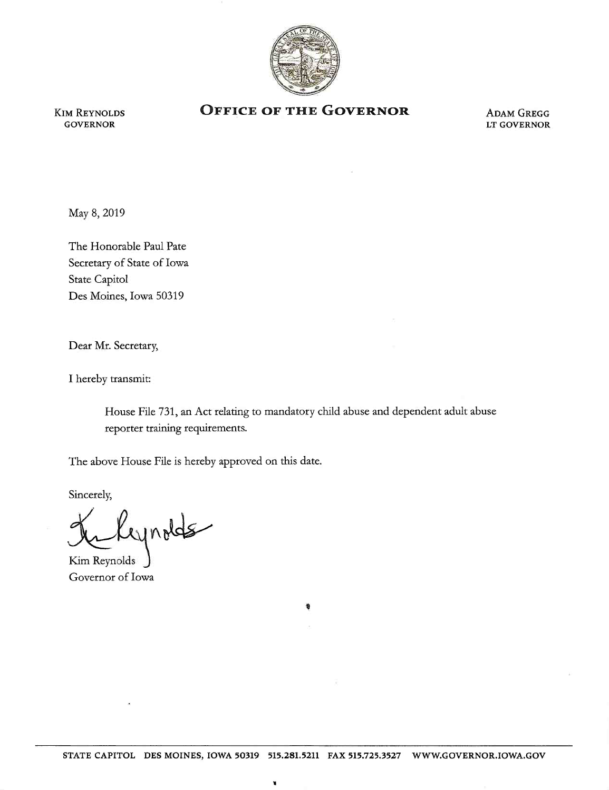

KIM REYNOLDS GOVERNOR

## **OFFICE OF THE GOVERNOR ADAM GREGG**

LT GOVERNOR

May 8, 2019

The Honorable Paul Pate Secretary of State of Iowa State Capitol Des Moines, Iowa 50319

Dear Mr. Secretary,

I hereby transmit:

House File 731, an Act relating to mandatory child abuse and dependent adult abuse reporter training requirements.

The above House File is hereby approved on this date.

Sincerely,

Lynolds

Kim Reynolds Governor of Iowa

1

'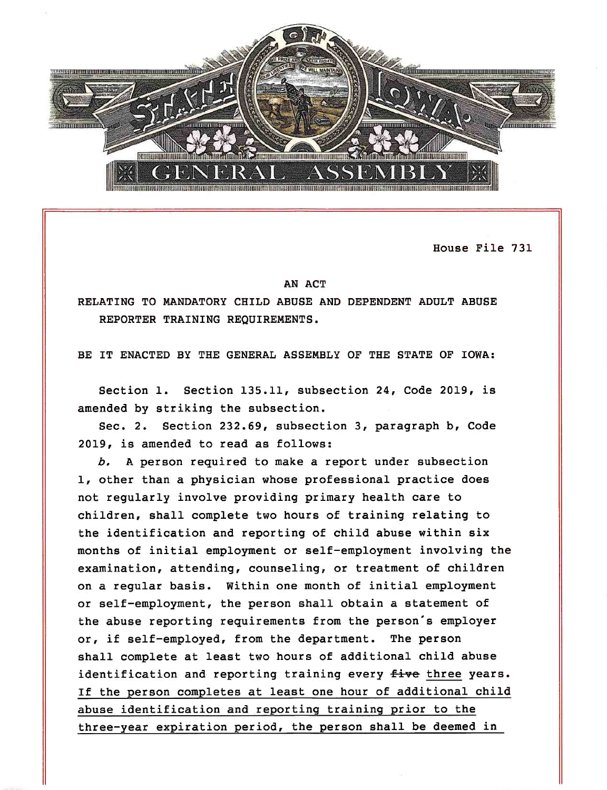

House File 731

## AN ACT

RELATING TO MANDATORY CHILD ABUSE AND DEPENDENT ADULT ABUSE REPORTER TRAINING REQUIREMENTS.

BE IT ENACTED BY THE GENERAL ASSEMBLY OF THE STATE OF IOWA:

Section 1. Section 135.11, subsection 24, Code 2019, is amended by striking the subsection.

Sec. 2. Section 232.69, subsection 3, paragraph b, Code 2019, is amended to read as follows:

*b.* A person required to make a report under subsection 1, other than a physician whose professional practice does not regularly involve providing primary health care to children, shall complete two hours of training relating to the identification and reporting of child abuse within six months of initial employment or self-employment involving the examination, attending, counseling, or treatment of children on a regular basis. Within one month of initial employment or self-employment, the person shall obtain a statement of the abuse reporting requirements from the person's employer or, if self-employed, from the department. The person shall complete at least two hours of additional child abuse identification and reporting training every five three years. If the person completes at least one hour of additional child abuse identification and reporting training prior to the three-year expiration period, the person shall be deemed in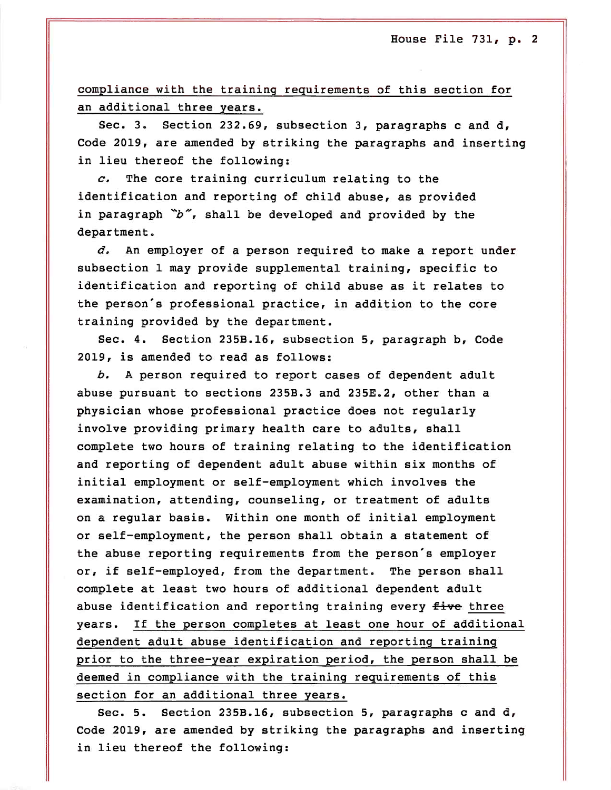compliance with the training requirements of this section for an additional three years.

Sec. 3. Section 232.69, subsection 3, paragraphs c and d, Code 2019, are amended by striking the paragraphs and inserting in lieu thereof the following:

*c.* The core training curriculum relating to the identification and reporting of child abuse, as provided in paragraph "b", shall be developed and provided by the department.

d. An employer of a person required to make a report under subsection 1 may provide supplemental training, specific to identification and reporting of child abuse as it relates to the person's professional practice, in addition to the core training provided by the department.

Sec. 4. Section 235B.16, subsection 5, paragraph b, Code 2019, is amended to read as follows:

*b.* A person required to report cases of dependent adult abuse pursuant to sections 235B.3 and 235E.2, other than a physician whose professional practice does not regularly involve providing primary health care to adults, shall complete two hours of training relating to the identification and reporting of dependent adult abuse within six months of initial employment or self-employment which involves the examination, attending, counseling, or treatment of adults on a regular basis. Within one month of initial employment or self-employment, the person shall obtain a statement of the abuse reporting requirements from the person's employer or, if self-employed, from the department. The person shall complete at least two hours of additional dependent adult abuse identification and reporting training every five three years. If the person completes at least one hour of additional dependent adult abuse identification and reporting training prior to the three-year expiration period, the person shall be deemed in compliance with the training requirements of this section for an additional three years.

Sec. 5. Section 235B.16, subsection 5, paragraphs c and d, Code 2019, are amended by striking the paragraphs and inserting in lieu thereof the following: